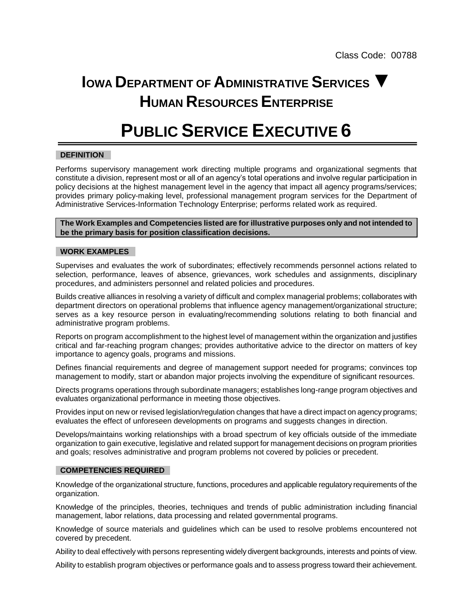## **IOWA DEPARTMENT OF ADMINISTRATIVE SERVICES ▼ HUMAN RESOURCES ENTERPRISE**

# **PUBLIC SERVICE EXECUTIVE 6**

### **DEFINITION**

Performs supervisory management work directing multiple programs and organizational segments that constitute a division, represent most or all of an agency's total operations and involve regular participation in policy decisions at the highest management level in the agency that impact all agency programs/services; provides primary policy-making level, professional management program services for the Department of Administrative Services-Information Technology Enterprise; performs related work as required.

**The Work Examples and Competencies listed are for illustrative purposes only and not intended to be the primary basis for position classification decisions.**

#### **WORK EXAMPLES**

Supervises and evaluates the work of subordinates; effectively recommends personnel actions related to selection, performance, leaves of absence, grievances, work schedules and assignments, disciplinary procedures, and administers personnel and related policies and procedures.

Builds creative alliances in resolving a variety of difficult and complex managerial problems; collaborates with department directors on operational problems that influence agency management/organizational structure; serves as a key resource person in evaluating/recommending solutions relating to both financial and administrative program problems.

Reports on program accomplishment to the highest level of management within the organization and justifies critical and far-reaching program changes; provides authoritative advice to the director on matters of key importance to agency goals, programs and missions.

Defines financial requirements and degree of management support needed for programs; convinces top management to modify, start or abandon major projects involving the expenditure of significant resources.

Directs programs operations through subordinate managers; establishes long-range program objectives and evaluates organizational performance in meeting those objectives.

Provides input on new or revised legislation/regulation changes that have a direct impact on agency programs; evaluates the effect of unforeseen developments on programs and suggests changes in direction.

Develops/maintains working relationships with a broad spectrum of key officials outside of the immediate organization to gain executive, legislative and related support for management decisions on program priorities and goals; resolves administrative and program problems not covered by policies or precedent.

#### **COMPETENCIES REQUIRED**

Knowledge of the organizational structure, functions, procedures and applicable regulatory requirements of the organization.

Knowledge of the principles, theories, techniques and trends of public administration including financial management, labor relations, data processing and related governmental programs.

Knowledge of source materials and guidelines which can be used to resolve problems encountered not covered by precedent.

Ability to deal effectively with persons representing widely divergent backgrounds, interests and points of view.

Ability to establish program objectives or performance goals and to assess progress toward their achievement.